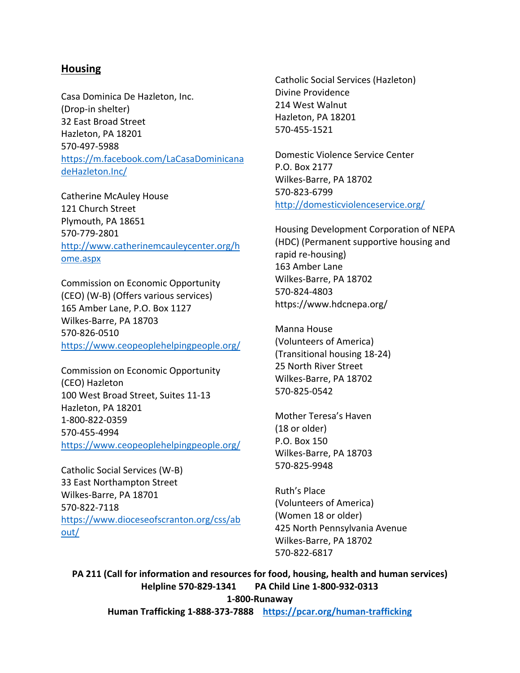### **Housing**

Casa Dominica De Hazleton, Inc. (Drop-in shelter) 32 East Broad Street Hazleton, PA 18201 570-497-5988 [https://m.facebook.com/LaCasaDominicana](https://m.facebook.com/LaCasaDominicanadeHazleton.Inc/) [deHazleton.Inc/](https://m.facebook.com/LaCasaDominicanadeHazleton.Inc/)

Catherine McAuley House 121 Church Street Plymouth, PA 18651 570-779-2801 [http://www.catherinemcauleycenter.org/h](http://www.catherinemcauleycenter.org/home.aspx) [ome.aspx](http://www.catherinemcauleycenter.org/home.aspx)

Commission on Economic Opportunity (CEO) (W-B) (Offers various services) 165 Amber Lane, P.O. Box 1127 Wilkes-Barre, PA 18703 570-826-0510 <https://www.ceopeoplehelpingpeople.org/>

Commission on Economic Opportunity (CEO) Hazleton 100 West Broad Street, Suites 11-13 Hazleton, PA 18201 1-800-822-0359 570-455-4994 <https://www.ceopeoplehelpingpeople.org/>

Catholic Social Services (W-B) 33 East Northampton Street Wilkes-Barre, PA 18701 570-822-7118 [https://www.dioceseofscranton.org/css/ab](https://www.dioceseofscranton.org/css/about/) [out/](https://www.dioceseofscranton.org/css/about/)

Catholic Social Services (Hazleton) Divine Providence 214 West Walnut Hazleton, PA 18201 570-455-1521

Domestic Violence Service Center P.O. Box 2177 Wilkes-Barre, PA 18702 570-823-6799 <http://domesticviolenceservice.org/>

Housing Development Corporation of NEPA (HDC) (Permanent supportive housing and rapid re-housing) 163 Amber Lane Wilkes-Barre, PA 18702 570-824-4803 https://www.hdcnepa.org/

Manna House (Volunteers of America) (Transitional housing 18-24) 25 North River Street Wilkes-Barre, PA 18702 570-825-0542

Mother Teresa's Haven (18 or older) P.O. Box 150 Wilkes-Barre, PA 18703 570-825-9948

Ruth's Place (Volunteers of America) (Women 18 or older) 425 North Pennsylvania Avenue Wilkes-Barre, PA 18702 570-822-6817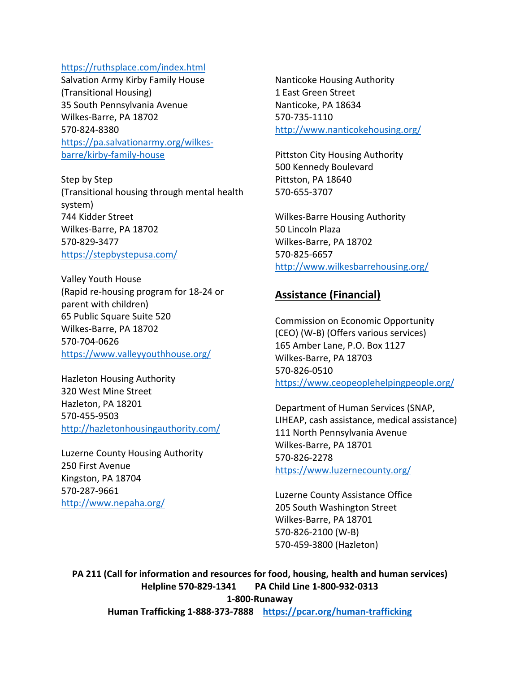#### <https://ruthsplace.com/index.html>

Salvation Army Kirby Family House (Transitional Housing) 35 South Pennsylvania Avenue Wilkes-Barre, PA 18702 570-824-8380 [https://pa.salvationarmy.org/wilkes](https://pa.salvationarmy.org/wilkes-barre/kirby-family-house)[barre/kirby-family-house](https://pa.salvationarmy.org/wilkes-barre/kirby-family-house)

Step by Step (Transitional housing through mental health system) 744 Kidder Street Wilkes-Barre, PA 18702 570-829-3477 <https://stepbystepusa.com/>

Valley Youth House (Rapid re-housing program for 18-24 or parent with children) 65 Public Square Suite 520 Wilkes-Barre, PA 18702 570-704-0626 <https://www.valleyyouthhouse.org/>

Hazleton Housing Authority 320 West Mine Street Hazleton, PA 18201 570-455-9503 <http://hazletonhousingauthority.com/>

Luzerne County Housing Authority 250 First Avenue Kingston, PA 18704 570-287-9661 <http://www.nepaha.org/>

Nanticoke Housing Authority 1 East Green Street Nanticoke, PA 18634 570-735-1110 <http://www.nanticokehousing.org/>

Pittston City Housing Authority 500 Kennedy Boulevard Pittston, PA 18640 570-655-3707

Wilkes-Barre Housing Authority 50 Lincoln Plaza Wilkes-Barre, PA 18702 570-825-6657 <http://www.wilkesbarrehousing.org/>

#### **Assistance (Financial)**

Commission on Economic Opportunity (CEO) (W-B) (Offers various services) 165 Amber Lane, P.O. Box 1127 Wilkes-Barre, PA 18703 570-826-0510 <https://www.ceopeoplehelpingpeople.org/>

Department of Human Services (SNAP, LIHEAP, cash assistance, medical assistance) 111 North Pennsylvania Avenue Wilkes-Barre, PA 18701 570-826-2278 <https://www.luzernecounty.org/>

Luzerne County Assistance Office 205 South Washington Street Wilkes-Barre, PA 18701 570-826-2100 (W-B) 570-459-3800 (Hazleton)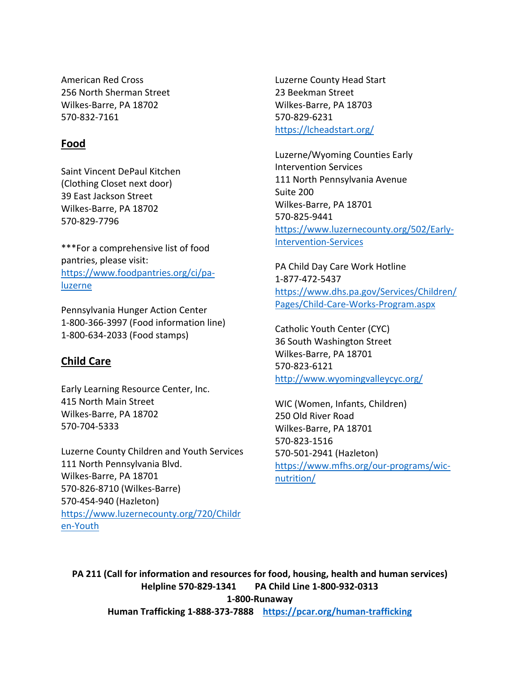American Red Cross 256 North Sherman Street Wilkes-Barre, PA 18702 570-832-7161

# **Food**

Saint Vincent DePaul Kitchen (Clothing Closet next door) 39 East Jackson Street Wilkes-Barre, PA 18702 570-829-7796

\*\*\*For a comprehensive list of food pantries, please visit: [https://www.foodpantries.org/ci/pa](https://www.foodpantries.org/ci/pa-luzerne)[luzerne](https://www.foodpantries.org/ci/pa-luzerne)

Pennsylvania Hunger Action Center 1-800-366-3997 (Food information line) 1-800-634-2033 (Food stamps)

# **Child Care**

Early Learning Resource Center, Inc. 415 North Main Street Wilkes-Barre, PA 18702 570-704-5333

Luzerne County Children and Youth Services 111 North Pennsylvania Blvd. Wilkes-Barre, PA 18701 570-826-8710 (Wilkes-Barre) 570-454-940 (Hazleton) [https://www.luzernecounty.org/720/Childr](https://www.luzernecounty.org/720/Children-Youth) [en-Youth](https://www.luzernecounty.org/720/Children-Youth)

Luzerne County Head Start 23 Beekman Street Wilkes-Barre, PA 18703 570-829-6231 <https://lcheadstart.org/>

Luzerne/Wyoming Counties Early Intervention Services 111 North Pennsylvania Avenue Suite 200 Wilkes-Barre, PA 18701 570-825-9441 [https://www.luzernecounty.org/502/Early-](https://www.luzernecounty.org/502/Early-Intervention-Services)[Intervention-Services](https://www.luzernecounty.org/502/Early-Intervention-Services)

PA Child Day Care Work Hotline 1-877-472-5437 [https://www.dhs.pa.gov/Services/Children/](https://www.dhs.pa.gov/Services/Children/Pages/Child-Care-Works-Program.aspx) [Pages/Child-Care-Works-Program.aspx](https://www.dhs.pa.gov/Services/Children/Pages/Child-Care-Works-Program.aspx)

Catholic Youth Center (CYC) 36 South Washington Street Wilkes-Barre, PA 18701 570-823-6121 <http://www.wyomingvalleycyc.org/>

WIC (Women, Infants, Children) 250 Old River Road Wilkes-Barre, PA 18701 570-823-1516 570-501-2941 (Hazleton) [https://www.mfhs.org/our-programs/wic](https://www.mfhs.org/our-programs/wic-nutrition/)[nutrition/](https://www.mfhs.org/our-programs/wic-nutrition/)